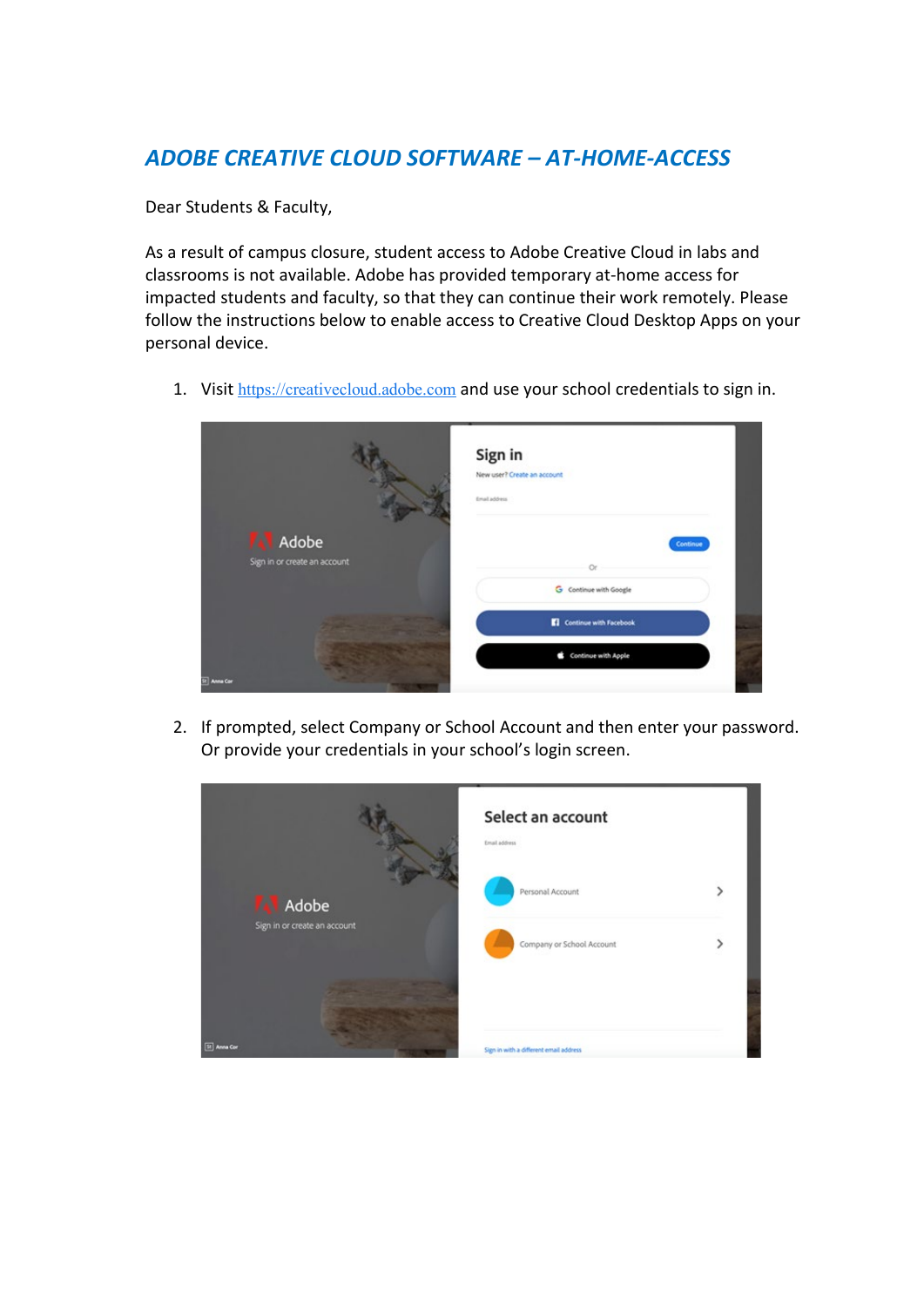## *ADOBE CREATIVE CLOUD SOFTWARE – AT-HOME-ACCESS*

Dear Students & Faculty,

As a result of campus closure, student access to Adobe Creative Cloud in labs and classrooms is not available. Adobe has provided temporary at-home access for impacted students and faculty, so that they can continue their work remotely. Please follow the instructions below to enable access to Creative Cloud Desktop Apps on your personal device.

1. Visit [https://creativecloud.adobe.com](https://eur02.safelinks.protection.outlook.com/?url=https%3A%2F%2Fcreativecloud.adobe.com%2F&data=02%7C01%7Cjoachim.goransson%40ju.se%7C68d5aa4cd06f4e257b7808d7cc23f11e%7C7564bc8f37384b4dbd575a02ca6215fb%7C0%7C0%7C637202327074772372&sdata=vX7ZP3eQZ8DhdWOFjcs7gKt2%2FDQWkHeWX%2F9MR4fO9Fo%3D&reserved=0) and use your school credentials to sign in.



2. If prompted, select Company or School Account and then enter your password. Or provide your credentials in your school's login screen.